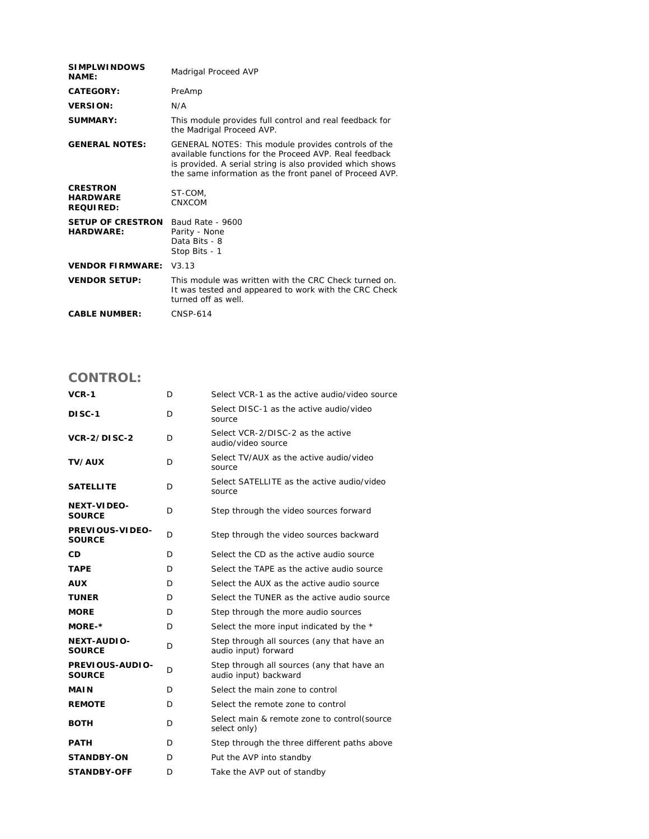| <b>SIMPLWINDOWS</b><br><b>NAME:</b>                           | Madrigal Proceed AVP                                                                                                                                                                                                                  |
|---------------------------------------------------------------|---------------------------------------------------------------------------------------------------------------------------------------------------------------------------------------------------------------------------------------|
| CATEGORY:                                                     | PreAmp                                                                                                                                                                                                                                |
| <b>VERSION:</b>                                               | N/A                                                                                                                                                                                                                                   |
| SUMMARY:                                                      | This module provides full control and real feedback for<br>the Madrigal Proceed AVP.                                                                                                                                                  |
| <b>GENERAL NOTES:</b>                                         | GENERAL NOTES: This module provides controls of the<br>available functions for the Proceed AVP. Real feedback<br>is provided. A serial string is also provided which shows<br>the same information as the front panel of Proceed AVP. |
| <b>CRESTRON</b><br><b>HARDWARE</b><br><b>REQUIRED:</b>        | ST-COM,<br>CNXCOM                                                                                                                                                                                                                     |
| <b>SETUP OF CRESTRON</b> Baud Rate - 9600<br><b>HARDWARE:</b> | Parity - None<br>Data Bits - 8<br>Stop Bits - 1                                                                                                                                                                                       |
| <b>VENDOR FIRMWARE:</b>                                       | V3.13                                                                                                                                                                                                                                 |
| <b>VENDOR SETUP:</b>                                          | This module was written with the CRC Check turned on.<br>It was tested and appeared to work with the CRC Check<br>turned off as well.                                                                                                 |
| <b>CABLE NUMBER:</b>                                          | <b>CNSP-614</b>                                                                                                                                                                                                                       |

## **CONTROL:**

| $VCR-1$                             | D | Select VCR-1 as the active audio/video source                       |
|-------------------------------------|---|---------------------------------------------------------------------|
| <b>DISC-1</b>                       | D | Select DISC-1 as the active audio/video<br>source                   |
| VCR-2/DISC-2                        | D | Select VCR-2/DISC-2 as the active<br>audio/video source             |
| <b>TV/AUX</b>                       | D | Select TV/AUX as the active audio/video<br>source                   |
| <b>SATELLITE</b>                    | D | Select SATELLITE as the active audio/video<br>source                |
| <b>NEXT-VIDEO-</b><br><b>SOURCE</b> | D | Step through the video sources forward                              |
| PREVIOUS-VIDEO-<br><b>SOURCE</b>    | D | Step through the video sources backward                             |
| CD                                  | D | Select the CD as the active audio source                            |
| <b>TAPE</b>                         | D | Select the TAPE as the active audio source                          |
| <b>AUX</b>                          | D | Select the AUX as the active audio source                           |
| <b>TUNER</b>                        | D | Select the TUNER as the active audio source                         |
| <b>MORE</b>                         | D | Step through the more audio sources                                 |
| MORE-*                              | D | Select the more input indicated by the *                            |
| <b>NEXT-AUDIO-</b><br><b>SOURCE</b> | D | Step through all sources (any that have an<br>audio input) forward  |
| PREVIOUS-AUDIO-<br><b>SOURCE</b>    | D | Step through all sources (any that have an<br>audio input) backward |
| <b>MAIN</b>                         | D | Select the main zone to control                                     |
| <b>REMOTE</b>                       | D | Select the remote zone to control                                   |
| <b>BOTH</b>                         | D | Select main & remote zone to control(source<br>select only)         |
| <b>PATH</b>                         | D | Step through the three different paths above                        |
| <b>STANDBY-ON</b>                   | D | Put the AVP into standby                                            |
| <b>STANDBY-OFF</b>                  | D | Take the AVP out of standby                                         |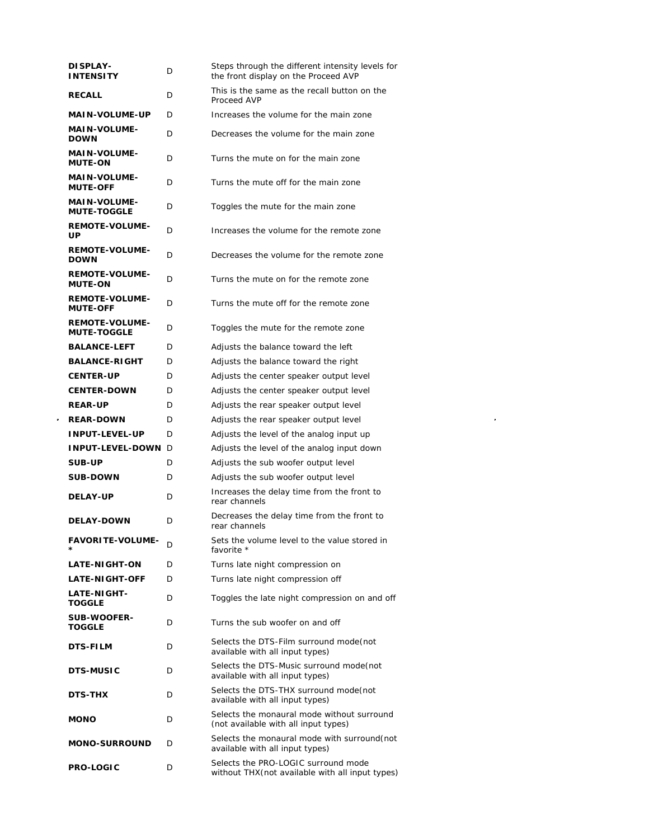| <b>DISPLAY-</b><br><b>INTENSITY</b>         | D | Steps through the different intensity levels for<br>the front display on the Proceed AVP |
|---------------------------------------------|---|------------------------------------------------------------------------------------------|
| <b>RECALL</b>                               | D | This is the same as the recall button on the<br>Proceed AVP                              |
| <b>MAIN-VOLUME-UP</b>                       | D | Increases the volume for the main zone                                                   |
| <b>MAIN-VOLUME-</b><br><b>DOWN</b>          | D | Decreases the volume for the main zone                                                   |
| <b>MAIN-VOLUME-</b><br><b>MUTE-ON</b>       | D | Turns the mute on for the main zone                                                      |
| <b>MAIN-VOLUME-</b><br><b>MUTE-OFF</b>      | D | Turns the mute off for the main zone                                                     |
| <b>MAIN-VOLUME-</b><br><b>MUTE-TOGGLE</b>   | D | Toggles the mute for the main zone                                                       |
| <b>REMOTE-VOLUME-</b><br>UP                 | D | Increases the volume for the remote zone                                                 |
| <b>REMOTE-VOLUME-</b><br><b>DOWN</b>        | D | Decreases the volume for the remote zone                                                 |
| <b>REMOTE-VOLUME-</b><br><b>MUTE-ON</b>     | D | Turns the mute on for the remote zone                                                    |
| <b>REMOTE-VOLUME-</b><br><b>MUTE-OFF</b>    | D | Turns the mute off for the remote zone                                                   |
| <b>REMOTE-VOLUME-</b><br><b>MUTE-TOGGLE</b> | D | Toggles the mute for the remote zone                                                     |
| <b>BALANCE-LEFT</b>                         | D | Adjusts the balance toward the left                                                      |
| <b>BALANCE-RIGHT</b>                        | D | Adjusts the balance toward the right                                                     |
| <b>CENTER-UP</b>                            | D | Adjusts the center speaker output level                                                  |
| <b>CENTER-DOWN</b>                          | D | Adjusts the center speaker output level                                                  |
| <b>REAR-UP</b>                              | D | Adjusts the rear speaker output level                                                    |
| <b>REAR-DOWN</b>                            | D | Adjusts the rear speaker output level                                                    |
| <b>INPUT-LEVEL-UP</b>                       | D | Adjusts the level of the analog input up                                                 |
| INPUT-LEVEL-DOWN D                          |   | Adjusts the level of the analog input down                                               |
| SUB-UP                                      | D | Adjusts the sub woofer output level                                                      |
| <b>SUB-DOWN</b>                             | D | Adjusts the sub woofer output level                                                      |
| <b>DELAY-UP</b>                             | D | Increases the delay time from the front to<br>rear channels                              |
| <b>DELAY-DOWN</b>                           | D | Decreases the delay time from the front to<br>rear channels                              |
| <b>FAVORITE-VOLUME-</b>                     | D | Sets the volume level to the value stored in<br>favorite *                               |
| <b>LATE-NIGHT-ON</b>                        | D | Turns late night compression on                                                          |
| <b>LATE-NIGHT-OFF</b>                       | D | Turns late night compression off                                                         |
| <b>LATE-NIGHT-</b><br><b>TOGGLE</b>         | D | Toggles the late night compression on and off                                            |
| <b>SUB-WOOFER-</b><br><b>TOGGLE</b>         | D | Turns the sub woofer on and off                                                          |
| <b>DTS-FILM</b>                             | D | Selects the DTS-Film surround mode (not<br>available with all input types)               |
| <b>DTS-MUSIC</b>                            | D | Selects the DTS-Music surround mode(not<br>available with all input types)               |
| <b>DTS-THX</b>                              | D | Selects the DTS-THX surround mode(not<br>available with all input types)                 |
| <b>MONO</b>                                 | D | Selects the monaural mode without surround<br>(not available with all input types)       |
| <b>MONO-SURROUND</b>                        | D | Selects the monaural mode with surround (not<br>available with all input types)          |
| <b>PRO-LOGIC</b>                            | D | Selects the PRO-LOGIC surround mode<br>without THX (not available with all input types)  |

 $\label{eq:2.1} \frac{1}{\sqrt{2}}\int_{\mathbb{R}^3}\frac{1}{\sqrt{2}}\left(\frac{1}{\sqrt{2}}\right)^2\frac{1}{\sqrt{2}}\left(\frac{1}{\sqrt{2}}\right)^2\frac{1}{\sqrt{2}}\left(\frac{1}{\sqrt{2}}\right)^2\frac{1}{\sqrt{2}}\left(\frac{1}{\sqrt{2}}\right)^2.$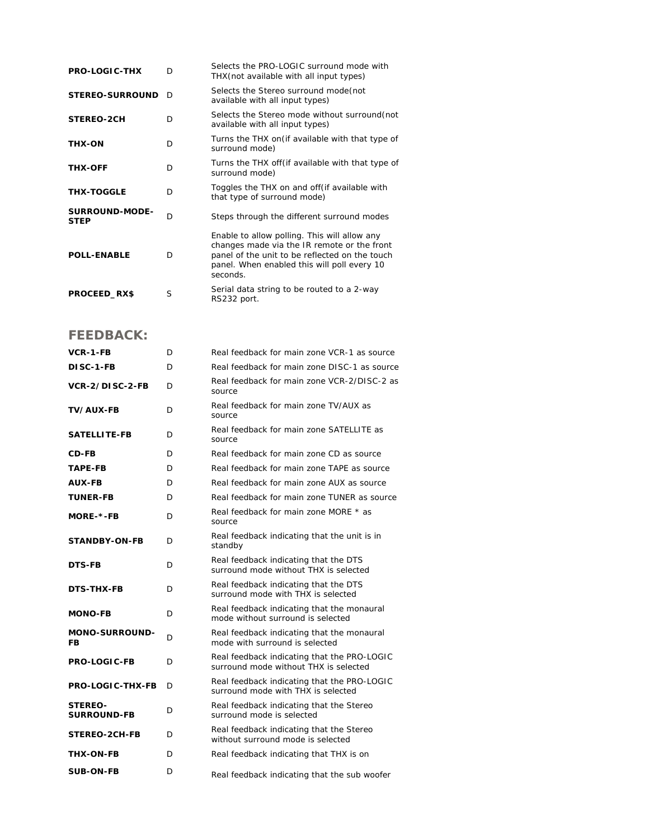| <b>PRO-LOGIC-THX</b>                 | D | Selects the PRO-LOGIC surround mode with<br>THX (not available with all input types)                                                                                                                     |
|--------------------------------------|---|----------------------------------------------------------------------------------------------------------------------------------------------------------------------------------------------------------|
| <b>STEREO-SURROUND</b>               | D | Selects the Stereo surround mode (not<br>available with all input types)                                                                                                                                 |
| STEREO-2CH                           | D | Selects the Stereo mode without surround (not<br>available with all input types)                                                                                                                         |
| <b>THX-ON</b>                        | D | Turns the THX on (if available with that type of<br>surround mode)                                                                                                                                       |
| <b>THX-OFF</b>                       | D | Turns the THX off (if available with that type of<br>surround mode)                                                                                                                                      |
| <b>THX-TOGGLE</b>                    | D | Toggles the THX on and off (if available with<br>that type of surround mode)                                                                                                                             |
| <b>SURROUND-MODE-</b><br><b>STEP</b> | D | Steps through the different surround modes                                                                                                                                                               |
| <b>POLL-ENABLE</b>                   | D | Enable to allow polling. This will allow any<br>changes made via the IR remote or the front<br>panel of the unit to be reflected on the touch<br>panel. When enabled this will poll every 10<br>seconds. |
| PROCEED_RX\$                         | S | Serial data string to be routed to a 2-way<br>RS232 port.                                                                                                                                                |

## **FEEDBACK:**

| <b>VCR-1-FB</b>                      | D | Real feedback for main zone VCR-1 as source                                          |
|--------------------------------------|---|--------------------------------------------------------------------------------------|
| DISC-1-FB                            | D | Real feedback for main zone DISC-1 as source                                         |
| VCR-2/DISC-2-FB                      | D | Real feedback for main zone VCR-2/DISC-2 as<br>source                                |
| <b>TV/AUX-FB</b>                     | D | Real feedback for main zone TV/AUX as<br>source                                      |
| <b>SATELLITE-FB</b>                  | D | Real feedback for main zone SATELLITE as<br>source                                   |
| <b>CD-FB</b>                         | D | Real feedback for main zone CD as source                                             |
| <b>TAPE-FB</b>                       | D | Real feedback for main zone TAPE as source                                           |
| <b>AUX-FB</b>                        | D | Real feedback for main zone AUX as source                                            |
| <b>TUNER-FB</b>                      | D | Real feedback for main zone TUNER as source                                          |
| MORE-*-FB                            | D | Real feedback for main zone MORE * as<br>source                                      |
| <b>STANDBY-ON-FB</b>                 | D | Real feedback indicating that the unit is in<br>standby                              |
| <b>DTS-FB</b>                        | D | Real feedback indicating that the DTS<br>surround mode without THX is selected.      |
| DTS-THX-FB                           | D | Real feedback indicating that the DTS<br>surround mode with THX is selected          |
| <b>MONO-FB</b>                       | D | Real feedback indicating that the monaural<br>mode without surround is selected      |
| <b>MONO-SURROUND-</b><br>FB          | D | Real feedback indicating that the monaural<br>mode with surround is selected         |
| <b>PRO-LOGIC-FB</b>                  | D | Real feedback indicating that the PRO-LOGIC<br>surround mode without THX is selected |
| <b>PRO-LOGIC-THX-FB</b>              | D | Real feedback indicating that the PRO-LOGIC<br>surround mode with THX is selected    |
| <b>STEREO-</b><br><b>SURROUND-FB</b> | D | Real feedback indicating that the Stereo<br>surround mode is selected                |
| STEREO-2CH-FB                        | D | Real feedback indicating that the Stereo<br>without surround mode is selected        |
| <b>THX-ON-FB</b>                     | D | Real feedback indicating that THX is on                                              |
| <b>SUB-ON-FB</b>                     | D | Real feedback indicating that the sub woofer                                         |
|                                      |   |                                                                                      |